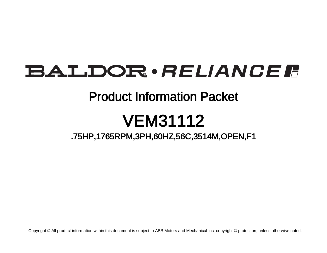## **BALDOR** · RELIANCE F

### Product Information Packet

# VEM31112

### .75HP,1765RPM,3PH,60HZ,56C,3514M,OPEN,F1

Copyright © All product information within this document is subject to ABB Motors and Mechanical Inc. copyright © protection, unless otherwise noted.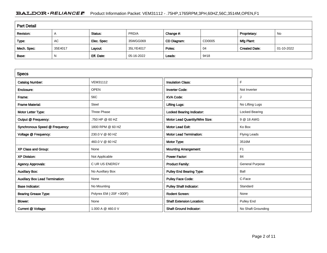#### BALDOR · RELIANCE F Product Information Packet: VEM31112 - .75HP,1765RPM,3PH,60HZ,56C,3514M,OPEN,F1

| <b>Part Detail</b> |              |             |            |             |        |                      |            |  |
|--------------------|--------------|-------------|------------|-------------|--------|----------------------|------------|--|
| Revision:          | $\mathsf{A}$ | Status:     | PRD/A      | Change #:   |        | Proprietary:         | No         |  |
| Type:              | AC           | Elec. Spec: | 35WGG069   | CD Diagram: | CD0005 | Mfg Plant:           |            |  |
| Mech. Spec:        | 35E4017      | Layout:     | 35LYE4017  | Poles:      | 04     | <b>Created Date:</b> | 01-10-2022 |  |
| Base:              | N            | Eff. Date:  | 05-16-2022 | Leads:      | 9#18   |                      |            |  |

| <b>Specs</b>                           |                         |                                  |                        |
|----------------------------------------|-------------------------|----------------------------------|------------------------|
| <b>Catalog Number:</b>                 | <b>VEM31112</b>         | <b>Insulation Class:</b>         | F.                     |
| Enclosure:                             | <b>OPEN</b>             | <b>Inverter Code:</b>            | Not Inverter           |
| Frame:                                 | 56C                     | <b>KVA Code:</b>                 |                        |
| <b>Frame Material:</b>                 | Steel                   | <b>Lifting Lugs:</b>             | No Lifting Lugs        |
| Motor Letter Type:                     | Three Phase             | <b>Locked Bearing Indicator:</b> | Locked Bearing         |
| Output @ Frequency:                    | .750 HP @ 60 HZ         | Motor Lead Quantity/Wire Size:   | 9 @ 18 AWG             |
| Synchronous Speed @ Frequency:         | 1800 RPM @ 60 HZ        | <b>Motor Lead Exit:</b>          | Ko Box                 |
| Voltage @ Frequency:                   | 230.0 V @ 60 HZ         | <b>Motor Lead Termination:</b>   | <b>Flying Leads</b>    |
|                                        | 460.0 V @ 60 HZ         | Motor Type:                      | 3516M                  |
| XP Class and Group:                    | None                    | <b>Mounting Arrangement:</b>     | F1                     |
| <b>XP Division:</b>                    | Not Applicable          | <b>Power Factor:</b>             | 84                     |
| <b>Agency Approvals:</b>               | <b>CURUS ENERGY</b>     | <b>Product Family:</b>           | <b>General Purpose</b> |
| <b>Auxillary Box:</b>                  | No Auxillary Box        | <b>Pulley End Bearing Type:</b>  | Ball                   |
| <b>Auxillary Box Lead Termination:</b> | None                    | <b>Pulley Face Code:</b>         | C-Face                 |
| <b>Base Indicator:</b>                 | No Mounting             | <b>Pulley Shaft Indicator:</b>   | Standard               |
| <b>Bearing Grease Type:</b>            | Polyrex EM (-20F +300F) | <b>Rodent Screen:</b>            | None                   |
| Blower:                                | None                    | <b>Shaft Extension Location:</b> | Pulley End             |
| Current @ Voltage:                     | 1.000 A @ 460.0 V       | <b>Shaft Ground Indicator:</b>   | No Shaft Grounding     |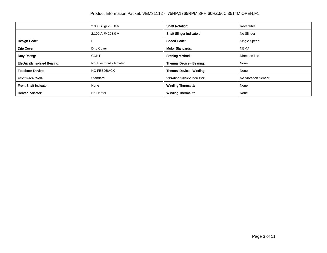|                                                                    | 2.000 A @ 230.0 V | <b>Shaft Rotation:</b>             | Reversible          |  |
|--------------------------------------------------------------------|-------------------|------------------------------------|---------------------|--|
|                                                                    | 2.100 A @ 208.0 V | <b>Shaft Slinger Indicator:</b>    | No Slinger          |  |
| Design Code:                                                       | B                 | <b>Speed Code:</b>                 | Single Speed        |  |
| Drip Cover:                                                        | Drip Cover        | <b>Motor Standards:</b>            | <b>NEMA</b>         |  |
| Duty Rating:<br><b>CONT</b>                                        |                   | <b>Starting Method:</b>            | Direct on line      |  |
| <b>Electrically Isolated Bearing:</b><br>Not Electrically Isolated |                   | Thermal Device - Bearing:          | None                |  |
| <b>Feedback Device:</b><br>NO FEEDBACK                             |                   | Thermal Device - Winding:          | None                |  |
| <b>Front Face Code:</b>                                            | Standard          | <b>Vibration Sensor Indicator:</b> | No Vibration Sensor |  |
| <b>Front Shaft Indicator:</b><br>None                              |                   | Winding Thermal 1:                 | None                |  |
| No Heater<br><b>Heater Indicator:</b>                              |                   | <b>Winding Thermal 2:</b>          | None                |  |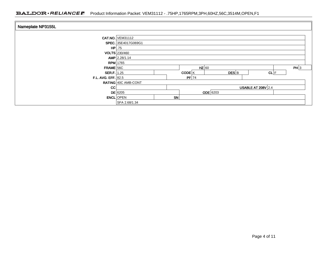#### BALDOR · RELIANCE F Product Information Packet: VEM31112 - .75HP,1765RPM,3PH,60HZ,56C,3514M,OPEN,F1

| Nameplate NP3155L          |                         |    |         |                    |                           |      |
|----------------------------|-------------------------|----|---------|--------------------|---------------------------|------|
|                            | <b>CAT.NO. VEM31112</b> |    |         |                    |                           |      |
|                            | SPEC. 35E4017G069G1     |    |         |                    |                           |      |
|                            | $HP$ .75                |    |         |                    |                           |      |
|                            | <b>VOLTS</b> 230/460    |    |         |                    |                           |      |
|                            | $AMP$ 2.28/1.14         |    |         |                    |                           |      |
|                            | <b>RPM</b> 1765         |    |         |                    |                           |      |
| $FRAME$ 56C                |                         |    | $HZ$ 60 |                    |                           | PH 3 |
| <b>SER.F.</b> 1.25         |                         |    | CODE K  | $DES$ <sub>B</sub> | CL F                      |      |
| <b>F.L. AVG. EFF. 82.5</b> |                         |    | $PF$ 74 |                    |                           |      |
|                            | RATING 40C AMB-CONT     |    |         |                    |                           |      |
| cc                         |                         |    |         |                    | <b>USABLE AT 208V 2.4</b> |      |
|                            | $DE$ 6205               |    |         | <b>ODE</b> 6203    |                           |      |
|                            | <b>ENCL</b> OPEN        | SN |         |                    |                           |      |
|                            | SFA 2.68/1.34           |    |         |                    |                           |      |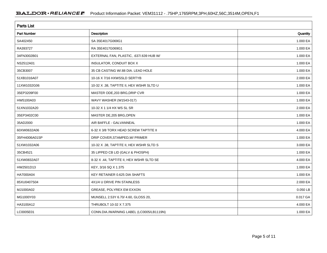| <b>Parts List</b>  |                                          |          |
|--------------------|------------------------------------------|----------|
| <b>Part Number</b> | Description                              | Quantity |
| SA402450           | SA 35E4017G069G1                         | 1.000 EA |
| RA393727           | RA 35E4017G069G1                         | 1.000 EA |
| 34FN3002B01        | EXTERNAL FAN, PLASTIC, .637/.639 HUB W/  | 1.000 EA |
| NS2512A01          | INSULATOR, CONDUIT BOX X                 | 1.000 EA |
| 35CB3007           | 35 CB CASTING W/.88 DIA. LEAD HOLE       | 1.000 EA |
| 51XB1016A07        | 10-16 X 7/16 HXWSSLD SERTYB              | 2.000 EA |
| 11XW1032G06        | 10-32 X .38, TAPTITE II, HEX WSHR SLTD U | 1.000 EA |
| 35EP3209F00        | MASTER ODE, 203 BRG, DRIP CVR            | 1.000 EA |
| HW5100A03          | WAVY WASHER (W1543-017)                  | 1.000 EA |
| 51XN1032A20        | 10-32 X 1 1/4 HX WS SL SR                | 2.000 EA |
| 35EP3402C00        | MASTER DE, 205 BRG, OPEN                 | 1.000 EA |
| 35AD2000           | AIR BAFFLE - GALVANNEAL                  | 1.000 EA |
| 60XW0632A06        | 6-32 X 3/8 TORX HEAD SCREW TAPTITE II    | 4.000 EA |
| 35FH4006A01SP      | DRIP COVER, STAMPED, W/ PRIMER           | 1.000 EA |
| 51XW1032A06        | 10-32 X .38, TAPTITE II, HEX WSHR SLTD S | 3.000 EA |
| 35CB4521           | 35 LIPPED CB LID (GALV & PHOSPH)         | 1.000 EA |
| 51XW0832A07        | 8-32 X .44, TAPTITE II, HEX WSHR SLTD SE | 4.000 EA |
| HW2501D13          | KEY, 3/16 SQ X 1.375                     | 1.000 EA |
| HA7000A04          | KEY RETAINER 0.625 DIA SHAFTS            | 1.000 EA |
| 85XU0407S04        | 4X1/4 U DRIVE PIN STAINLESS              | 2.000 EA |
| MJ1000A02          | GREASE, POLYREX EM EXXON                 | 0.050 LB |
| MG1000Y03          | MUNSELL 2.53Y 6.70/ 4.60, GLOSS 20,      | 0.017 GA |
| HA3100A12          | THRUBOLT 10-32 X 7.375                   | 4.000 EA |
| LC0005E01          | CONN.DIA./WARNING LABEL (LC0005/LB1119N) | 1.000 EA |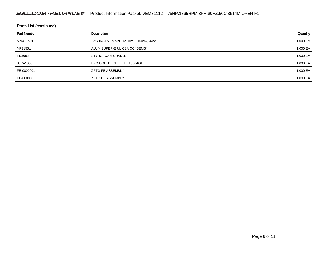| <b>Parts List (continued)</b> |                                         |              |  |  |  |  |
|-------------------------------|-----------------------------------------|--------------|--|--|--|--|
| <b>Part Number</b>            | Description                             | Quantity     |  |  |  |  |
| MN416A01                      | TAG-INSTAL-MAINT no wire (2100/bx) 4/22 | 1.000 EA $ $ |  |  |  |  |
| <b>NP3155L</b>                | ALUM SUPER-E UL CSA CC "SEMS"           | 1.000 EA $ $ |  |  |  |  |
| PK3082                        | STYROFOAM CRADLE                        | 1.000 EA $ $ |  |  |  |  |
| 35PA1066                      | PKG GRP, PRINT<br>PK1008A06             | 1.000 EA $ $ |  |  |  |  |
| FE-0000001                    | <b>ZRTG FE ASSEMBLY</b>                 | 1.000 EA $ $ |  |  |  |  |
| PE-0000003                    | <b>ZRTG PE ASSEMBLY</b>                 | 1.000 EA $ $ |  |  |  |  |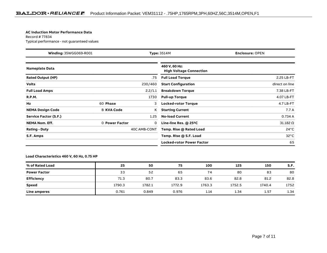#### **AC Induction Motor Performance Data**

Record # 77834Typical performance - not guaranteed values

| Winding: 35WGG069-R001       |                   |              | <b>Type: 3514M</b><br><b>Enclosure: OPEN</b>    |                   |  |  |
|------------------------------|-------------------|--------------|-------------------------------------------------|-------------------|--|--|
| <b>Nameplate Data</b>        |                   |              | 460 V, 60 Hz:<br><b>High Voltage Connection</b> |                   |  |  |
| <b>Rated Output (HP)</b>     |                   | .75          | <b>Full Load Torque</b>                         | 2.25 LB-FT        |  |  |
| <b>Volts</b>                 |                   | 230/460      | <b>Start Configuration</b>                      | direct on line    |  |  |
| <b>Full Load Amps</b>        |                   | 2.2/1.1      | <b>Breakdown Torque</b>                         | 7.38 LB-FT        |  |  |
| <b>R.P.M.</b>                |                   | 1730         | <b>Pull-up Torque</b>                           | 4.07 LB-FT        |  |  |
| Hz                           | 60 Phase          | 3            | <b>Locked-rotor Torque</b>                      | 4.7 LB-FT         |  |  |
| <b>NEMA Design Code</b>      | <b>B KVA Code</b> | K.           | <b>Starting Current</b>                         | 7.7A              |  |  |
| <b>Service Factor (S.F.)</b> |                   | 1.25         | <b>No-load Current</b>                          | 0.734 A           |  |  |
| <b>NEMA Nom. Eff.</b>        | 0 Power Factor    | 0            | Line-line Res. $@$ 25 <sup>o</sup> C            | $31.182$ $\Omega$ |  |  |
| <b>Rating - Duty</b>         |                   | 40C AMB-CONT | Temp. Rise @ Rated Load                         | $24^{\circ}$ C    |  |  |
| S.F. Amps                    |                   |              | Temp. Rise @ S.F. Load                          | $32^{\circ}$ C    |  |  |
|                              |                   |              | <b>Locked-rotor Power Factor</b>                | 65                |  |  |

#### **Load Characteristics 460 V, 60 Hz, 0.75 HP**

| % of Rated Load     | 25     | 50     | 75     | 100    | 125    | 150    | S.F. |
|---------------------|--------|--------|--------|--------|--------|--------|------|
| <b>Power Factor</b> | 33     | 52     | 65     | 74     | 80     | 83     | 80   |
| <b>Efficiency</b>   | 71.3   | 80.7   | 83.3   | 83.6   | 82.8   | 81.2   | 82.8 |
| Speed               | 1790.3 | 1782.1 | 1772.9 | 1763.3 | 1752.5 | 1740.4 | 1752 |
| <b>Line amperes</b> | 0.761  | 0.849  | 0.976  | 1.14   | 1.34   | 1.57   | 1.34 |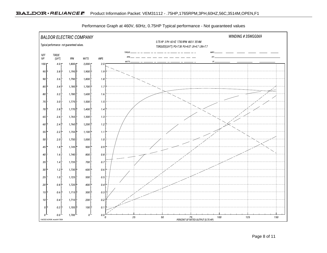

Performance Graph at 460V, 60Hz, 0.75HP Typical performance - Not guaranteed values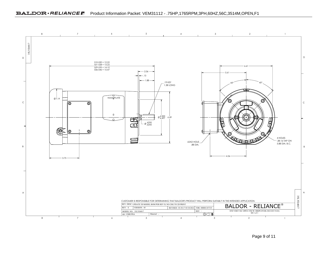#### BALDOR · RELIANCE F Product Information Packet: VEM31112 - .75HP,1765RPM,3PH,60HZ,56C,3514M,OPEN,F1



Page 9 of 11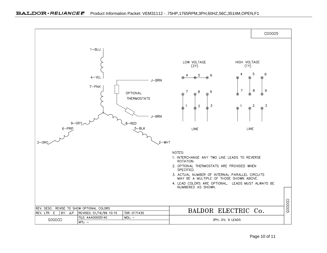